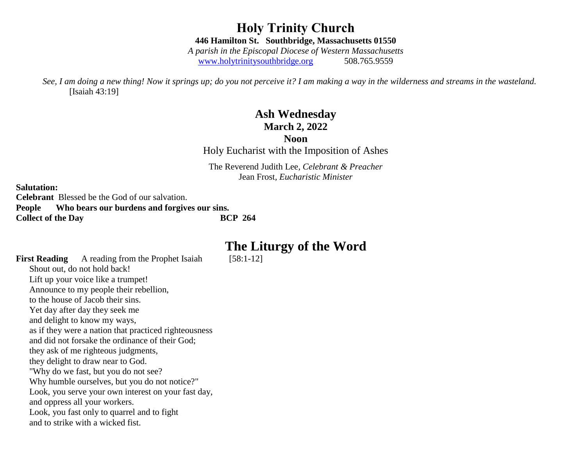#### **Holy Trinity Church 446 Hamilton St. Southbridge, Massachusetts 01550**

*A parish in the Episcopal Diocese of Western Massachusetts* [www.holytrinitysouthbridge.org](http://www.holytrinitysouthbridge.org/) 508.765.9559

*See, I am doing a new thing! Now it springs up; do you not perceive it? I am making a way in the wilderness and streams in the wasteland.* [Isaiah 43:19[\]](https://www.bing.com/search?q=holyt+trinity+episcopal+church+southbridge+ma&cvid=7e7a9a9b5d0a41ca9c5ecd38b8f0b484&aqs=edge..69i57j0j69i60.12565j0j1&pglt=43&FORM=ANNTA1&PC=U531)

# **Ash Wednesday**

### **March 2, 2022**

**Noon**

Holy Eucharist with the Imposition of Ashes

The Reverend Judith Lee*, Celebrant & Preacher* Jean Frost*, Eucharistic Minister*

**Salutation: Celebrant** Blessed be the God of our salvation. **People****Who bears our burdens and forgives our sins. Collect of the Day BCP 264** 

## **The Liturgy of the Word**

**First Reading** A reading from the Prophet Isaiah [58:1-12] Shout out, do not hold back! Lift up your voice like a trumpet! Announce to my people their rebellion, to the house of Jacob their sins. Yet day after day they seek me and delight to know my ways, as if they were a nation that practiced righteousness and did not forsake the ordinance of their God; they ask of me righteous judgments, they delight to draw near to God. "Why do we fast, but you do not see? Why humble ourselves, but you do not notice?" Look, you serve your own interest on your fast day, and oppress all your workers. Look, you fast only to quarrel and to fight and to strike with a wicked fist.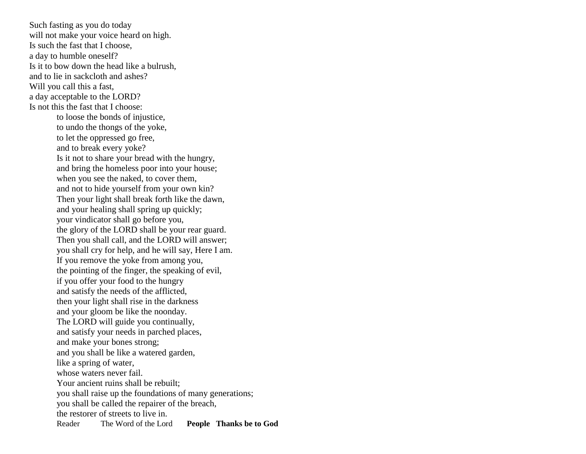Such fasting as you do today will not make your voice heard on high. Is such the fast that I choose, a day to humble oneself? Is it to bow down the head like a bulrush, and to lie in sackcloth and ashes? Will you call this a fast, a day acceptable to the LORD? Is not this the fast that I choose: to loose the bonds of injustice, to undo the thongs of the yoke, to let the oppressed go free, and to break every yoke? Is it not to share your bread with the hungry, and bring the homeless poor into your house; when you see the naked, to cover them, and not to hide yourself from your own kin? Then your light shall break forth like the dawn, and your healing shall spring up quickly; your vindicator shall go before you, the glory of the LORD shall be your rear guard. Then you shall call, and the LORD will answer; you shall cry for help, and he will say, Here I am. If you remove the yoke from among you, the pointing of the finger, the speaking of evil, if you offer your food to the hungry and satisfy the needs of the afflicted, then your light shall rise in the darkness and your gloom be like the noonday. The LORD will guide you continually, and satisfy your needs in parched places, and make your bones strong; and you shall be like a watered garden, like a spring of water, whose waters never fail. Your ancient ruins shall be rebuilt; you shall raise up the foundations of many generations; you shall be called the repairer of the breach, the restorer of streets to live in. Reader The Word of the Lord **People Thanks be to God**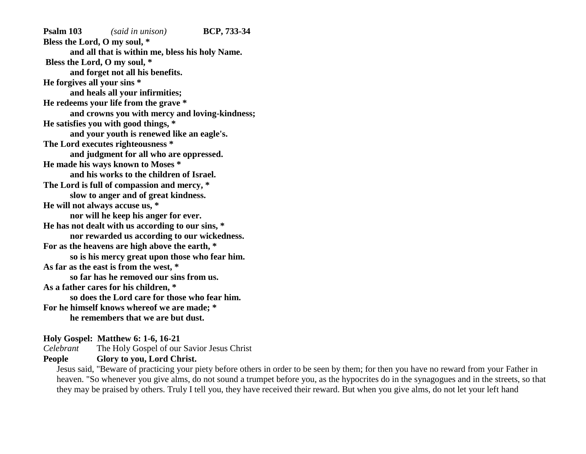**Psalm 103** *(said in unison)* **BCP, 733-34 Bless the Lord, O my soul, \* and all that is within me, bless his holy Name. Bless the Lord, O my soul, \* and forget not all his benefits. He forgives all your sins \* and heals all your infirmities; He redeems your life from the grave \* and crowns you with mercy and loving-kindness; He satisfies you with good things, \* and your youth is renewed like an eagle's. The Lord executes righteousness \* and judgment for all who are oppressed. He made his ways known to Moses \* and his works to the children of Israel. The Lord is full of compassion and mercy, \* slow to anger and of great kindness. He will not always accuse us, \* nor will he keep his anger for ever. He has not dealt with us according to our sins, \* nor rewarded us according to our wickedness. For as the heavens are high above the earth, \* so is his mercy great upon those who fear him. As far as the east is from the west, \* so far has he removed our sins from us. As a father cares for his children, \* so does the Lord care for those who fear him. For he himself knows whereof we are made; \* he remembers that we are but dust.**

**Holy Gospel: Matthew 6: 1-6, 16-21** 

*Celebrant* The Holy Gospel of our Savior Jesus Christ

**People Glory to you, Lord Christ.**

Jesus said, "Beware of practicing your piety before others in order to be seen by them; for then you have no reward from your Father in heaven. "So whenever you give alms, do not sound a trumpet before you, as the hypocrites do in the synagogues and in the streets, so that they may be praised by others. Truly I tell you, they have received their reward. But when you give alms, do not let your left hand